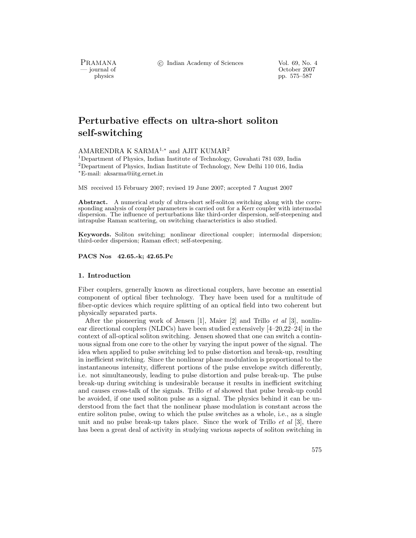c Indian Academy of Sciences Vol. 69, No. 4

PRAMANA<br>
— journal of

urnal of Corollace Corollace Corollace Corollace Corollace Corollace Corollace Corollace Corollace Corollace Corollace Corollace Corollace Corollace Corollace Corollace Corollace Corollace Corollace Corollace Corollace Cor physics pp. 575–587

# Perturbative effects on ultra-short soliton **self-switching self-switching**

AMARENDRA K SARMA1,<sup>∗</sup> and AJIT KUMAR2

<sup>1</sup>Department of Physics, Indian Institute of Technology, Guwahati 781 039, India  $^{2}$ Department of Physics, Indian Institute of Technology, New Delhi 110 016, India <sup>∗</sup>E-mail: aksarma@iitg.ernet.in

MS received 15 February 2007; revised 19 June 2007; accepted 7 August 2007

**Abstract.** A numerical study of ultra-short self-soliton switching along with the corresponding analysis of coupler parameters is carried out for a Kerr coupler with intermodal dispersion. The influence of perturbations like third-order dispersion, self-steepening and intrapulse Raman scattering, on switching characteristics is also studied.

**Keywords.** Soliton switching; nonlinear directional coupler; intermodal dispersion; third-order dispersion; Raman effect; self-steepening.

**PACS Nos 42.65.-k; 42.65.Pc**

#### **1. Introduction**

Fiber couplers, generally known as directional couplers, have become an essential component of optical fiber technology. They have been used for a multitude of fiber-optic devices which require splitting of an optical field into two coherent but physically separated parts.

After the pioneering work of Jensen [1], Maier [2] and Trillo *et al* [3], nonlinear directional couplers (NLDCs) have been studied extensively [4–20,22–24] in the context of all-optical soliton switching. Jensen showed that one can switch a continuous signal from one core to the other by varying the input power of the signal. The idea when applied to pulse switching led to pulse distortion and break-up, resulting in inefficient switching. Since the nonlinear phase modulation is proportional to the instantaneous intensity, different portions of the pulse envelope switch differently, i.e. not simultaneously, leading to pulse distortion and pulse break-up. The pulse break-up during switching is undesirable because it results in inefficient switching and causes cross-talk of the signals. Trillo *et al* showed that pulse break-up could be avoided, if one used soliton pulse as a signal. The physics behind it can be understood from the fact that the nonlinear phase modulation is constant across the entire soliton pulse, owing to which the pulse switches as a whole, i.e., as a single unit and no pulse break-up takes place. Since the work of Trillo *et al* [3], there has been a great deal of activity in studying various aspects of soliton switching in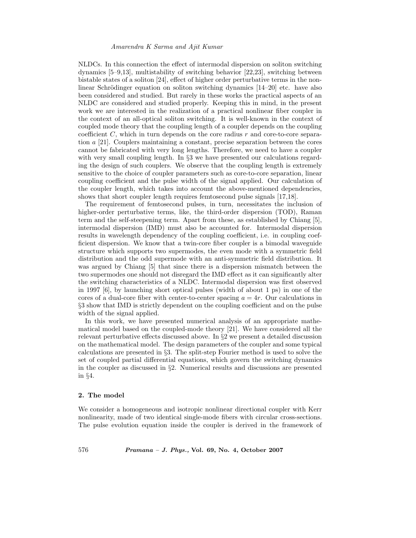NLDCs. In this connection the effect of intermodal dispersion on soliton switching dynamics [5–9,13], multistability of switching behavior [22,23], switching between bistable states of a soliton [24], effect of higher order perturbative terms in the nonlinear Schrödinger equation on soliton switching dynamics  $[14–20]$  etc. have also been considered and studied. But rarely in these works the practical aspects of an NLDC are considered and studied properly. Keeping this in mind, in the present work we are interested in the realization of a practical nonlinear fiber coupler in the context of an all-optical soliton switching. It is well-known in the context of coupled mode theory that the coupling length of a coupler depends on the coupling coefficient  $C$ , which in turn depends on the core radius  $r$  and core-to-core separation a [21]. Couplers maintaining a constant, precise separation between the cores cannot be fabricated with very long lengths. Therefore, we need to have a coupler with very small coupling length. In  $\S$ 3 we have presented our calculations regarding the design of such couplers. We observe that the coupling length is extremely sensitive to the choice of coupler parameters such as core-to-core separation, linear coupling coefficient and the pulse width of the signal applied. Our calculation of the coupler length, which takes into account the above-mentioned dependencies, shows that short coupler length requires femtosecond pulse signals [17,18].

The requirement of femtosecond pulses, in turn, necessitates the inclusion of higher-order perturbative terms, like, the third-order dispersion (TOD), Raman term and the self-steepening term. Apart from these, as established by Chiang [5], intermodal dispersion (IMD) must also be accounted for. Intermodal dispersion results in wavelength dependency of the coupling coefficient, i.e. in coupling coefficient dispersion. We know that a twin-core fiber coupler is a bimodal waveguide structure which supports two supermodes, the even mode with a symmetric field distribution and the odd supermode with an anti-symmetric field distribution. It was argued by Chiang [5] that since there is a dispersion mismatch between the two supermodes one should not disregard the IMD effect as it can significantly alter the switching characteristics of a NLDC. Intermodal dispersion was first observed in 1997 [6], by launching short optical pulses (width of about 1 ps) in one of the cores of a dual-core fiber with center-to-center spacing  $a = 4r$ . Our calculations in §3 show that IMD is strictly dependent on the coupling coefficient and on the pulse width of the signal applied.

In this work, we have presented numerical analysis of an appropriate mathematical model based on the coupled-mode theory [21]. We have considered all the relevant perturbative effects discussed above. In §2 we present a detailed discussion on the mathematical model. The design parameters of the coupler and some typical calculations are presented in §3. The split-step Fourier method is used to solve the set of coupled partial differential equations, which govern the switching dynamics in the coupler as discussed in §2. Numerical results and discussions are presented in §4.

## **2. The model**

We consider a homogeneous and isotropic nonlinear directional coupler with Kerr nonlinearity, made of two identical single-mode fibers with circular cross-sections. The pulse evolution equation inside the coupler is derived in the framework of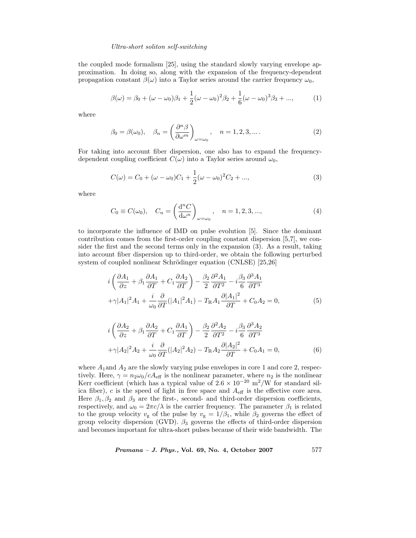## *Ultra-short soliton self-switching*

the coupled mode formalism [25], using the standard slowly varying envelope approximation. In doing so, along with the expansion of the frequency-dependent propagation constant  $\beta(\omega)$  into a Taylor series around the carrier frequency  $\omega_0$ ,

$$
\beta(\omega) = \beta_0 + (\omega - \omega_0)\beta_1 + \frac{1}{2}(\omega - \omega_0)^2 \beta_2 + \frac{1}{6}(\omega - \omega_0)^3 \beta_3 + ..., \tag{1}
$$

where

$$
\beta_0 = \beta(\omega_0), \quad \beta_n = \left(\frac{\partial^n \beta}{\partial \omega^m}\right)_{\omega = \omega_0}, \quad n = 1, 2, 3, \dots.
$$
 (2)

For taking into account fiber dispersion, one also has to expand the frequencydependent coupling coefficient  $C(\omega)$  into a Taylor series around  $\omega_0$ ,

$$
C(\omega) = C_0 + (\omega - \omega_0)C_1 + \frac{1}{2}(\omega - \omega_0)^2 C_2 + ...,
$$
\n(3)

where

$$
C_0 \equiv C(\omega_0), \quad C_n = \left(\frac{d^n C}{d\omega^n}\right)_{\omega=\omega_0}, \quad n = 1, 2, 3, ...,
$$
 (4)

to incorporate the influence of IMD on pulse evolution [5]. Since the dominant contribution comes from the first-order coupling constant dispersion [5,7], we consider the first and the second terms only in the expansion (3). As a result, taking into account fiber dispersion up to third-order, we obtain the following perturbed system of coupled nonlinear Schrödinger equation (CNLSE) [25,26]

$$
i\left(\frac{\partial A_1}{\partial z} + \beta_1 \frac{\partial A_1}{\partial T} + C_1 \frac{\partial A_2}{\partial T}\right) - \frac{\beta_2}{2} \frac{\partial^2 A_1}{\partial T^2} - i \frac{\beta_3}{6} \frac{\partial^3 A_1}{\partial T^3} + \gamma |A_1|^2 A_1 + \frac{i}{\omega_0} \frac{\partial}{\partial T} (|A_1|^2 A_1) - T_R A_1 \frac{\partial |A_1|^2}{\partial T} + C_0 A_2 = 0,
$$
 (5)

$$
i\left(\frac{\partial A_2}{\partial z} + \beta_1 \frac{\partial A_2}{\partial T} + C_1 \frac{\partial A_1}{\partial T}\right) - \frac{\beta_2}{2} \frac{\partial^2 A_2}{\partial T^2} - i \frac{\beta_3}{6} \frac{\partial^3 A_2}{\partial T^3} + \gamma |A_2|^2 A_2 + \frac{i}{\omega_0} \frac{\partial}{\partial T} (|A_2|^2 A_2) - T_R A_2 \frac{\partial |A_2|^2}{\partial T} + C_0 A_1 = 0,
$$
 (6)

where  $A_1$  and  $A_2$  are the slowly varying pulse envelopes in core 1 and core 2, respectively. Here,  $\gamma = n_2 \omega_0/cA_{\text{eff}}$  is the nonlinear parameter, where  $n_2$  is the nonlinear<br>Key coefficient (which has a typical value of  $2.6 \times 10^{-20}$  m<sup>2</sup>/W for standard sil Kerr coefficient (which has a typical value of  $2.6 \times 10^{-20}$  m<sup>2</sup>/W for standard silica fiber), c is the speed of light in free space and  $A_{\text{eff}}$  is the effective core area. Here  $\beta_1, \beta_2$  and  $\beta_3$  are the first-, second- and third-order dispersion coefficients, respectively, and  $\omega_0 = 2\pi c/\lambda$  is the carrier frequency. The parameter  $\beta_1$  is related to the group velocity  $v_{\rm g}$  of the pulse by  $v_{\rm g} = 1/\beta_1$ , while  $\beta_2$  governs the effect of group velocity dispersion (GVD).  $\beta_3$  governs the effects of third-order dispersion and becomes important for ultra-short pulses because of their wide bandwidth. The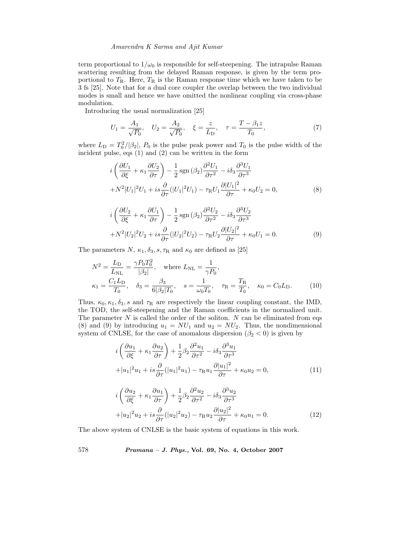term proportional to  $1/\omega_0$  is responsible for self-steepening. The intrapulse Raman scattering resulting from the delayed Raman response, is given by the term proportional to  $T_{\rm R}$ . Here,  $T_{\rm R}$  is the Raman response time which we have taken to be 3 fs [25]. Note that for a dual core coupler the overlap between the two individual modes is small and hence we have omitted the nonlinear coupling via cross-phase modulation.

Introducing the usual normalization [25]

$$
U_1 = \frac{A_1}{\sqrt{P_0}}, \quad U_2 = \frac{A_2}{\sqrt{P_0}}, \quad \xi = \frac{z}{L_D}, \quad \tau = \frac{T - \beta_1 z}{T_0}, \tag{7}
$$

where  $L_D = T_0^2/|\beta_2|$ ,  $P_0$  is the pulse peak power and  $T_0$  is the pulse width of the incident pulse eqs. (1) and (2) can be written in the form incident pulse, eqs (1) and (2) can be written in the form

$$
i\left(\frac{\partial U_1}{\partial \xi} + \kappa_1 \frac{\partial U_2}{\partial \tau}\right) - \frac{1}{2} \operatorname{sgn}\left(\beta_2\right) \frac{\partial^2 U_1}{\partial \tau^2} - i\delta_3 \frac{\partial^3 U_1}{\partial \tau^3} + N^2 |U_1|^2 U_1 + i s \frac{\partial}{\partial \tau} (|U_1|^2 U_1) - \tau_R U_1 \frac{\partial |U_1|^2}{\partial \tau} + \kappa_0 U_2 = 0,
$$
 (8)

$$
i\left(\frac{\partial U_2}{\partial \xi} + \kappa_1 \frac{\partial U_1}{\partial \tau}\right) - \frac{1}{2} \operatorname{sgn}\left(\beta_2\right) \frac{\partial^2 U_2}{\partial \tau^2} - i\delta_3 \frac{\partial^3 U_2}{\partial \tau^3} + N^2 |U_2|^2 U_2 + i s \frac{\partial}{\partial \tau} (|U_2|^2 U_2) - \tau_R U_2 \frac{\partial |U_2|^2}{\partial \tau} + \kappa_0 U_1 = 0.
$$
 (9)

The parameters  $N$ ,  $\kappa_1$ ,  $\delta_3$ ,  $s$ ,  $\tau$ <sub>R</sub> and  $\kappa_0$  are defined as [25]

$$
N^{2} = \frac{L_{\rm D}}{L_{\rm NL}} = \frac{\gamma P_{0} T_{0}^{2}}{|\beta_{2}|}, \quad \text{where } L_{\rm NL} = \frac{1}{\gamma P_{0}},
$$
  

$$
\kappa_{1} = \frac{C_{1} L_{\rm D}}{T_{0}}, \quad \delta_{3} = \frac{\beta_{3}}{6 |\beta_{2}| T_{0}}, \quad s = \frac{1}{\omega_{0} T_{0}}, \quad \tau_{\rm R} = \frac{T_{\rm R}}{T_{0}}, \quad \kappa_{0} = C_{0} L_{\rm D}.
$$
 (10)

Thus,  $\kappa_0, \kappa_1, \delta_3$ , s and  $\tau_R$  are respectively the linear coupling constant, the IMD, the TOD, the self-steepening and the Raman coefficients in the normalized unit. The parameter  $N$  is called the order of the soliton.  $N$  can be eliminated from eqs (8) and (9) by introducing  $u_1 = NU_1$  and  $u_2 = NU_2$ . Thus, the nondimensional system of CNLSE, for the case of anomalous dispersion ( $\beta_2 < 0$ ) is given by

$$
i\left(\frac{\partial u_1}{\partial \xi} + \kappa_1 \frac{\partial u_2}{\partial \tau}\right) + \frac{1}{2} \beta_2 \frac{\partial^2 u_1}{\partial \tau^2} - i \delta_3 \frac{\partial^3 u_1}{\partial \tau^3} + |u_1|^2 u_1 + i s \frac{\partial}{\partial \tau} (|u_1|^2 u_1) - \tau_{\mathcal{R}} u_1 \frac{\partial |u_1|^2}{\partial \tau} + \kappa_0 u_2 = 0,
$$
\n(11)

$$
i\left(\frac{\partial u_2}{\partial \xi} + \kappa_1 \frac{\partial u_1}{\partial \tau}\right) + \frac{1}{2} \beta_2 \frac{\partial^2 u_2}{\partial \tau^2} - i \delta_3 \frac{\partial^3 u_2}{\partial \tau^3} + |u_2|^2 u_2 + i s \frac{\partial}{\partial \tau} (|u_2|^2 u_2) - \tau_{\mathcal{R}} u_2 \frac{\partial |u_2|^2}{\partial \tau} + \kappa_0 u_1 = 0.
$$
 (12)

The above system of CNLSE is the basic system of equations in this work.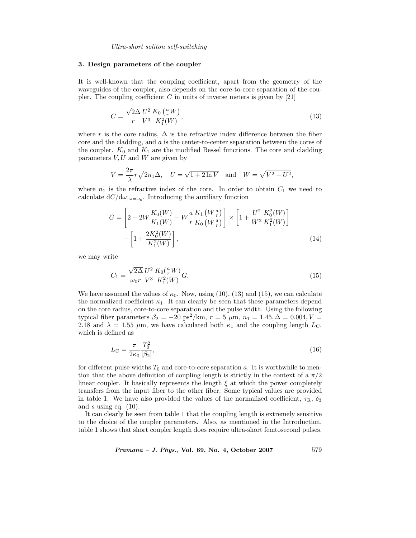*Ultra-short soliton self-switching*

#### **3. Design parameters of the coupler**

It is well-known that the coupling coefficient, apart from the geometry of the waveguides of the coupler, also depends on the core-to-core separation of the coupler. The coupling coefficient  $C$  in units of inverse meters is given by [21]

$$
C = \frac{\sqrt{2\Delta}}{r} \frac{U^2}{V^3} \frac{K_0\left(\frac{a}{r}W\right)}{K_1^2(W)},
$$
\n(13)

where r is the core radius,  $\Delta$  is the refractive index difference between the fiber core and the cladding, and a is the center-to-center separation between the cores of the coupler.  $K_0$  and  $K_1$  are the modified Bessel functions. The core and cladding parameters  $V, U$  and  $W$  are given by

$$
V = \frac{2\pi}{\lambda} r \sqrt{2n_1 \Delta}, \quad U = \sqrt{1 + 2\ln V} \quad \text{and} \quad W = \sqrt{V^2 - U^2},
$$

where  $n_1$  is the refractive index of the core. In order to obtain  $C_1$  we need to calculate  $dC/d\omega|_{\omega=\omega_0}$ . Introducing the auxiliary function

$$
G = \left[2 + 2W\frac{K_0(W)}{K_1(W)} - W\frac{a}{r}\frac{K_1(W\frac{a}{r})}{K_0(W\frac{a}{r})}\right] \times \left[1 + \frac{U^2}{W^2}\frac{K_0^2(W)}{K_1^2(W)}\right] - \left[1 + \frac{2K_0^2(W)}{K_1^2(W)}\right],
$$
\n(14)

we may write

$$
C_1 = \frac{\sqrt{2\Delta}}{\omega_0 r} \frac{U^2}{V^3} \frac{K_0(\frac{a}{r}W)}{K_1^2(W)} G.
$$
\n(15)

We have assumed the values of  $\kappa_0$ . Now, using (10), (13) and (15), we can calculate the normalized coefficient  $\kappa_1$ . It can clearly be seen that these parameters depend on the core radius, core-to-core separation and the pulse width. Using the following typical fiber parameters  $\beta_2 = -20 \text{ ps}^2/\text{km}$ ,  $r = 5 \mu \text{m}$ ,  $n_1 = 1.45$ ,  $\Delta = 0.004$ ,  $V =$ 2.18 and  $\lambda = 1.55 \mu \text{m}$ , we have calculated both  $\kappa_1$  and the coupling length  $L_{\text{C}}$ , which is defined as

$$
L_{\rm C} = \frac{\pi}{2\kappa_0} \frac{T_0^2}{|\beta_2|},\tag{16}
$$

for different pulse widths  $T_0$  and core-to-core separation a. It is worthwhile to mention that the above definition of coupling length is strictly in the context of a  $\pi/2$ linear coupler. It basically represents the length  $\xi$  at which the power completely transfers from the input fiber to the other fiber. Some typical values are provided in table 1. We have also provided the values of the normalized coefficient,  $\tau_R$ ,  $\delta_3$ and  $s$  using eq.  $(10)$ .

It can clearly be seen from table 1 that the coupling length is extremely sensitive to the choice of the coupler parameters. Also, as mentioned in the Introduction, table 1 shows that short coupler length does require ultra-short femtosecond pulses.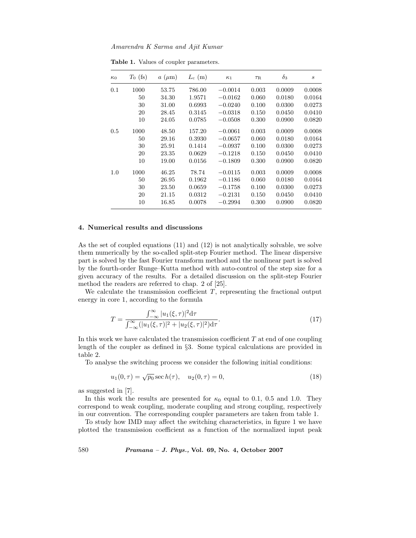| $\kappa_0$ | $T_0$ (fs) | $a \ (\mu m)$ | $L_{\rm c}~({\rm m})$ | $\kappa_1$ | $\tau_{\rm R}$ | $\delta_3$ | $\boldsymbol{s}$ |
|------------|------------|---------------|-----------------------|------------|----------------|------------|------------------|
| 0.1        | 1000       | 53.75         | 786.00                | $-0.0014$  | 0.003          | 0.0009     | 0.0008           |
|            | 50         | 34.30         | 1.9571                | $-0.0162$  | 0.060          | 0.0180     | 0.0164           |
|            | 30         | 31.00         | 0.6993                | $-0.0240$  | 0.100          | 0.0300     | 0.0273           |
|            | 20         | 28.45         | 0.3145                | $-0.0318$  | 0.150          | 0.0450     | 0.0410           |
|            | 10         | 24.05         | 0.0785                | $-0.0508$  | 0.300          | 0.0900     | 0.0820           |
| 0.5        | 1000       | 48.50         | 157.20                | $-0.0061$  | 0.003          | 0.0009     | 0.0008           |
|            | 50         | 29.16         | 0.3930                | $-0.0657$  | 0.060          | 0.0180     | 0.0164           |
|            | 30         | 25.91         | 0.1414                | $-0.0937$  | 0.100          | 0.0300     | 0.0273           |
|            | 20         | 23.35         | 0.0629                | $-0.1218$  | 0.150          | 0.0450     | 0.0410           |
|            | 10         | 19.00         | 0.0156                | $-0.1809$  | 0.300          | 0.0900     | 0.0820           |
| 1.0        | 1000       | 46.25         | 78.74                 | $-0.0115$  | 0.003          | 0.0009     | 0.0008           |
|            | 50         | 26.95         | 0.1962                | $-0.1186$  | 0.060          | 0.0180     | 0.0164           |
|            | 30         | 23.50         | 0.0659                | $-0.1758$  | 0.100          | 0.0300     | 0.0273           |
|            | 20         | 21.15         | 0.0312                | $-0.2131$  | 0.150          | 0.0450     | 0.0410           |
|            | 10         | 16.85         | 0.0078                | $-0.2994$  | 0.300          | 0.0900     | 0.0820           |

**Table 1.** Values of coupler parameters.

## **4. Numerical results and discussions**

As the set of coupled equations (11) and (12) is not analytically solvable, we solve them numerically by the so-called split-step Fourier method. The linear dispersive part is solved by the fast Fourier transform method and the nonlinear part is solved by the fourth-order Runge–Kutta method with auto-control of the step size for a given accuracy of the results. For a detailed discussion on the split-step Fourier method the readers are referred to chap. 2 of [25].

We calculate the transmission coefficient  $T$ , representing the fractional output energy in core 1, according to the formula

$$
T = \frac{\int_{-\infty}^{\infty} |u_1(\xi,\tau)|^2 d\tau}{\int_{-\infty}^{\infty} (|u_1(\xi,\tau)|^2 + |u_2(\xi,\tau)|^2) d\tau}.
$$
 (17)

In this work we have calculated the transmission coefficient  $T$  at end of one coupling length of the coupler as defined in §3. Some typical calculations are provided in table 2.

To analyse the switching process we consider the following initial conditions:

$$
u_1(0,\tau) = \sqrt{p_0} \sec h(\tau), \quad u_2(0,\tau) = 0,
$$
\n(18)

as suggested in [7].

In this work the results are presented for  $\kappa_0$  equal to 0.1, 0.5 and 1.0. They correspond to weak coupling, moderate coupling and strong coupling, respectively in our convention. The corresponding coupler parameters are taken from table 1.

To study how IMD may affect the switching characteristics, in figure 1 we have plotted the transmission coefficient as a function of the normalized input peak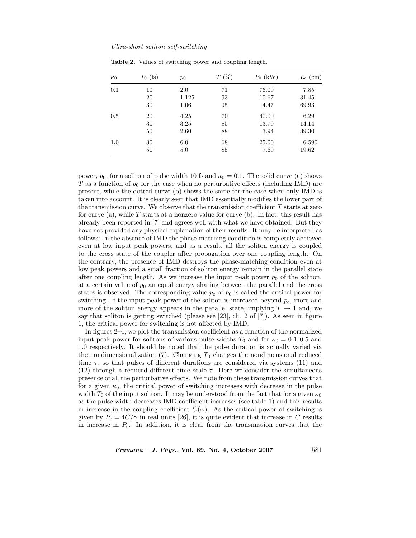| $P_0$ (kW)<br>$L_{\rm c}$ (cm) |
|--------------------------------|
| 76.00<br>7.85                  |
| 10.67<br>31.45                 |
| 4.47<br>69.93                  |
| 6.29<br>40.00                  |
| 13.70<br>14.14                 |
| 3.94<br>39.30                  |
| 6.590<br>25.00                 |
| 19.62<br>7.60                  |
|                                |

**Table 2.** Values of switching power and coupling length.

power,  $p_0$ , for a soliton of pulse width 10 fs and  $\kappa_0 = 0.1$ . The solid curve (a) shows T as a function of  $p_0$  for the case when no perturbative effects (including IMD) are present, while the dotted curve (b) shows the same for the case when only IMD is taken into account. It is clearly seen that IMD essentially modifies the lower part of the transmission curve. We observe that the transmission coefficient  $T$  starts at zero for curve (a), while  $T$  starts at a nonzero value for curve (b). In fact, this result has already been reported in [7] and agrees well with what we have obtained. But they have not provided any physical explanation of their results. It may be interpreted as follows: In the absence of IMD the phase-matching condition is completely achieved even at low input peak powers, and as a result, all the soliton energy is coupled to the cross state of the coupler after propagation over one coupling length. On the contrary, the presence of IMD destroys the phase-matching condition even at low peak powers and a small fraction of soliton energy remain in the parallel state after one coupling length. As we increase the input peak power  $p_0$  of the soliton, at a certain value of  $p_0$  an equal energy sharing between the parallel and the cross states is observed. The corresponding value  $p_c$  of  $p_0$  is called the critical power for switching. If the input peak power of the soliton is increased beyond  $p_c$ , more and more of the soliton energy appears in the parallel state, implying  $T \to 1$  and, we say that soliton is getting switched (please see [23], ch. 2 of [7]). As seen in figure 1, the critical power for switching is not affected by IMD.

In figures 2–4, we plot the transmission coefficient as a function of the normalized input peak power for solitons of various pulse widths  $T_0$  and for  $\kappa_0 = 0.1, 0.5$  and 1.0 respectively. It should be noted that the pulse duration is actually varied via the nondimensionalization  $(7)$ . Changing  $T_0$  changes the nondimensional reduced time  $\tau$ , so that pulses of different durations are considered via systems (11) and (12) through a reduced different time scale  $\tau$ . Here we consider the simultaneous presence of all the perturbative effects. We note from these transmission curves that for a given  $\kappa_0$ , the critical power of switching increases with decrease in the pulse width  $T_0$  of the input soliton. It may be understood from the fact that for a given  $\kappa_0$ as the pulse width decreases IMD coefficient increases (see table 1) and this results in increase in the coupling coefficient  $C(\omega)$ . As the critical power of switching is given by  $P_c = 4C/\gamma$  in real units [26], it is quite evident that increase in C results in increase in  $P_c$ . In addition, it is clear from the transmission curves that the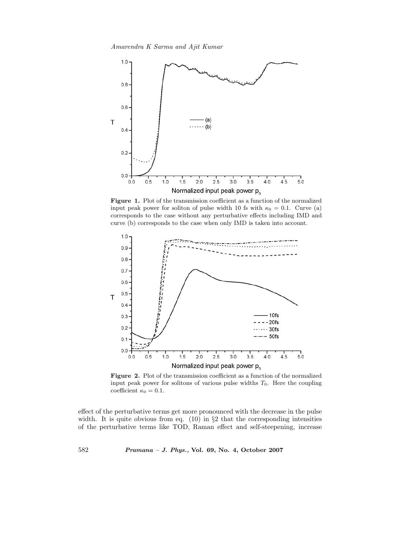

Figure 1. Plot of the transmission coefficient as a function of the normalized input peak power for soliton of pulse width 10 fs with  $\kappa_0 = 0.1$ . Curve (a) corresponds to the case without any perturbative effects including IMD and curve (b) corresponds to the case when only IMD is taken into account.



**Figure 2.** Plot of the transmission coefficient as a function of the normalized input peak power for solitons of various pulse widths  $T_0$ . Here the coupling coefficient  $\kappa_0 = 0.1$ .

effect of the perturbative terms get more pronounced with the decrease in the pulse width. It is quite obvious from eq.  $(10)$  in §2 that the corresponding intensities of the perturbative terms like TOD, Raman effect and self-steepening, increase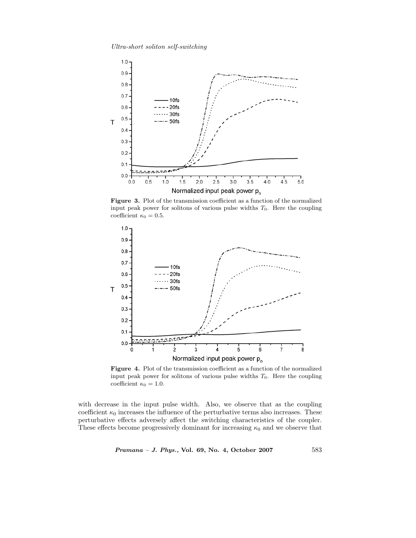*Ultra-short soliton self-switching*



**Figure 3.** Plot of the transmission coefficient as a function of the normalized input peak power for solitons of various pulse widths  $T_0$ . Here the coupling coefficient  $\kappa_0 = 0.5$ .



**Figure 4.** Plot of the transmission coefficient as a function of the normalized input peak power for solitons of various pulse widths  $T_0$ . Here the coupling coefficient  $\kappa_0 = 1.0$ .

with decrease in the input pulse width. Also, we observe that as the coupling coefficient  $\kappa_0$  increases the influence of the perturbative terms also increases. These perturbative effects adversely affect the switching characteristics of the coupler. These effects become progressively dominant for increasing  $\kappa_0$  and we observe that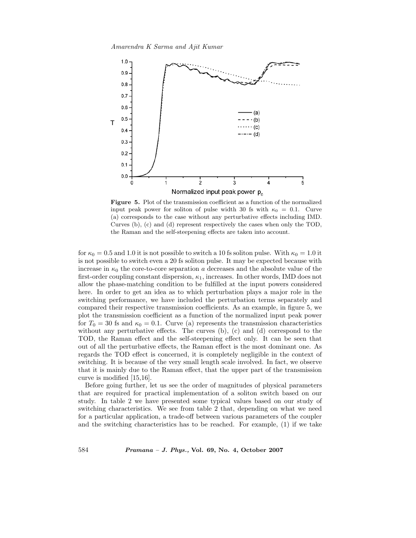

**Figure 5.** Plot of the transmission coefficient as a function of the normalized input peak power for soliton of pulse width 30 fs with  $\kappa_0 = 0.1$ . Curve (a) corresponds to the case without any perturbative effects including IMD. Curves (b), (c) and (d) represent respectively the cases when only the TOD, the Raman and the self-steepening effects are taken into account.

for  $\kappa_0 = 0.5$  and 1.0 it is not possible to switch a 10 fs soliton pulse. With  $\kappa_0 = 1.0$  it is not possible to switch even a 20 fs soliton pulse. It may be expected because with increase in  $\kappa_0$  the core-to-core separation a decreases and the absolute value of the first-order coupling constant dispersion,  $\kappa_1$ , increases. In other words, IMD does not allow the phase-matching condition to be fulfilled at the input powers considered here. In order to get an idea as to which perturbation plays a major role in the switching performance, we have included the perturbation terms separately and compared their respective transmission coefficients. As an example, in figure 5, we plot the transmission coefficient as a function of the normalized input peak power for  $T_0 = 30$  fs and  $\kappa_0 = 0.1$ . Curve (a) represents the transmission characteristics without any perturbative effects. The curves (b), (c) and (d) correspond to the TOD, the Raman effect and the self-steepening effect only. It can be seen that out of all the perturbative effects, the Raman effect is the most dominant one. As regards the TOD effect is concerned, it is completely negligible in the context of switching. It is because of the very small length scale involved. In fact, we observe that it is mainly due to the Raman effect, that the upper part of the transmission curve is modified [15,16].

Before going further, let us see the order of magnitudes of physical parameters that are required for practical implementation of a soliton switch based on our study. In table 2 we have presented some typical values based on our study of switching characteristics. We see from table 2 that, depending on what we need for a particular application, a trade-off between various parameters of the coupler and the switching characteristics has to be reached. For example, (1) if we take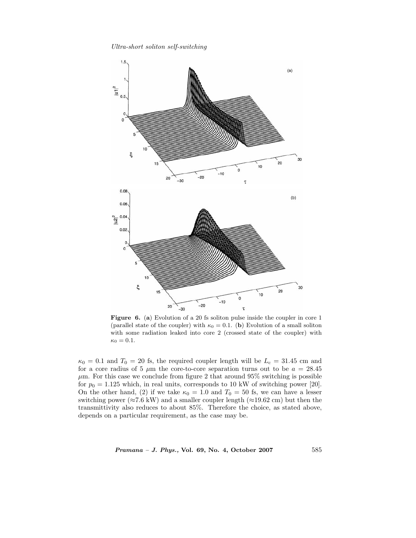*Ultra-short soliton self-switching*



**Figure 6.** (**a**) Evolution of a 20 fs soliton pulse inside the coupler in core 1 (parallel state of the coupler) with  $\kappa_0 = 0.1$ . (**b**) Evolution of a small soliton with some radiation leaked into core 2 (crossed state of the coupler) with  $\kappa_0 = 0.1$ .

 $\kappa_0 = 0.1$  and  $T_0 = 20$  fs, the required coupler length will be  $L_c = 31.45$  cm and for a core radius of 5  $\mu$ m the core-to-core separation turns out to be  $a = 28.45$  $\mu$ m. For this case we conclude from figure 2 that around 95% switching is possible for  $p_0 = 1.125$  which, in real units, corresponds to 10 kW of switching power [20]. On the other hand, (2) if we take  $\kappa_0 = 1.0$  and  $T_0 = 50$  fs, we can have a lesser switching power ( $\approx 7.6$  kW) and a smaller coupler length ( $\approx 19.62$  cm) but then the transmittivity also reduces to about 85%. Therefore the choice, as stated above, depends on a particular requirement, as the case may be.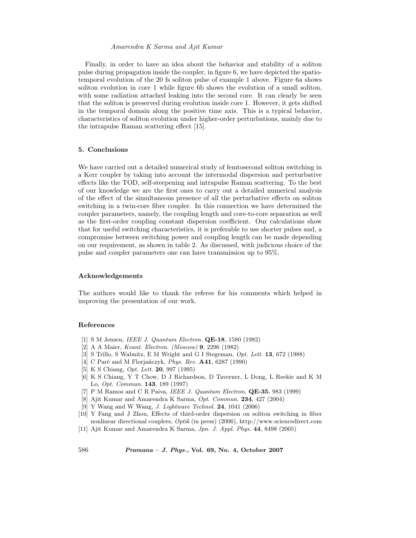Finally, in order to have an idea about the behavior and stability of a soliton pulse during propagation inside the coupler, in figure 6, we have depicted the spatiotemporal evolution of the 20 fs soliton pulse of example 1 above. Figure 6a shows soliton evolution in core 1 while figure 6b shows the evolution of a small soliton, with some radiation attached leaking into the second core. It can clearly be seen that the soliton is preserved during evolution inside core 1. However, it gets shifted in the temporal domain along the positive time axis. This is a typical behavior, characteristics of soliton evolution under higher-order perturbations, mainly due to the intrapulse Raman scattering effect [15].

# **5. Conclusions**

We have carried out a detailed numerical study of femtosecond soliton switching in a Kerr coupler by taking into account the intermodal dispersion and perturbative effects like the TOD, self-steepening and intrapulse Raman scattering. To the best of our knowledge we are the first ones to carry out a detailed numerical analysis of the effect of the simultaneous presence of all the perturbative effects on soliton switching in a twin-core fiber coupler. In this connection we have determined the coupler parameters, namely, the coupling length and core-to-core separation as well as the first-order coupling constant dispersion coefficient. Our calculations show that for useful switching characteristics, it is preferable to use shorter pulses and, a compromise between switching power and coupling length can be made depending on our requirement, as shown in table 2. As discussed, with judicious choice of the pulse and coupler parameters one can have transmission up to 95%.

## **Acknowledgements**

The authors would like to thank the referee for his comments which helped in improving the presentation of our work.

## **References**

- [1] S M Jensen, *IEEE J. Quantum Electron.* **QE-18**, 1580 (1982)
- [2] A A Maier, *Kvant. Electron. (Moscow)* **9**, 2296 (1982)
- [3] S Trillo, S Wabnitz, E M Wright and G I Stegeman, *Opt. Lett.* **13**, 672 (1988)
- [4] C Paré and M Florjańczyk, *Phys. Rev.* **A41**, 6287 (1990)
- [5] K S Chiang, *Opt. Lett.* **20**, 997 (1995)
- [6] K S Chiang, Y T Chow, D J Richardson, D Taverner, L Dong, L Reekie and K M Lo, *Opt. Commun.* **143**, 189 (1997)
- [7] P M Ramos and C R Paiva, *IEEE J. Quantum Electron.* **QE-35**, 983 (1999)
- [8] Ajit Kumar and Amarendra K Sarma, *Opt. Commun.* **234**, 427 (2004)
- [9] Y Wang and W Wang, *J. Lightwave Technol.* **24**, 1041 (2006)
- [10] Y Fang and J Zhou, Effects of third-order dispersion on soliton switching in fiber nonlinear directional couplers, *Optik* (in press) (2006), http://www.sciencedirect.com
- [11] Ajit Kumar and Amarendra K Sarma, *Jpn. J. Appl. Phys.* **44**, 8498 (2005)